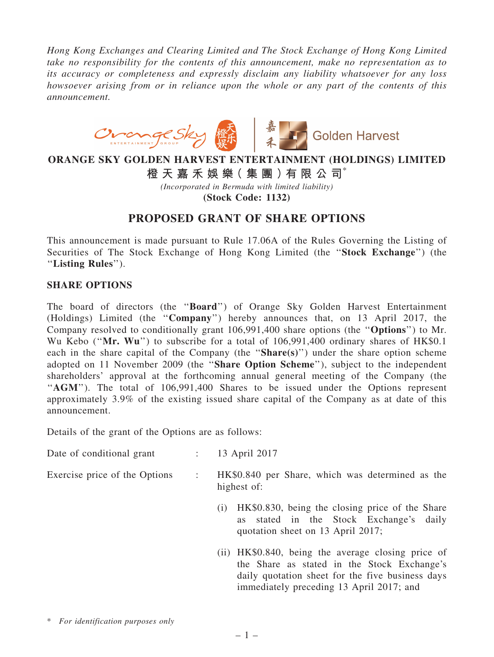*Hong Kong Exchanges and Clearing Limited and The Stock Exchange of Hong Kong Limited take no responsibility for the contents of this announcement, make no representation as to its accuracy or completeness and expressly disclaim any liability whatsoever for any loss howsoever arising from or in reliance upon the whole or any part of the contents of this announcement.*



## ORANGE SKY GOLDEN HARVEST ENTERTAINMENT (HOLDINGS) LIMITED

橙 天 嘉 禾 娛 樂( 集 團 )有 限 公 司\*

*(Incorporated in Bermuda with limited liability)*

(Stock Code: 1132)

## PROPOSED GRANT OF SHARE OPTIONS

This announcement is made pursuant to Rule 17.06A of the Rules Governing the Listing of Securities of The Stock Exchange of Hong Kong Limited (the ''Stock Exchange'') (the ''Listing Rules'').

## SHARE OPTIONS

The board of directors (the ''Board'') of Orange Sky Golden Harvest Entertainment (Holdings) Limited (the ''Company'') hereby announces that, on 13 April 2017, the Company resolved to conditionally grant 106,991,400 share options (the ''Options'') to Mr. Wu Kebo ("Mr. Wu") to subscribe for a total of 106,991,400 ordinary shares of HK\$0.1 each in the share capital of the Company (the "Share(s)") under the share option scheme adopted on 11 November 2009 (the ''Share Option Scheme''), subject to the independent shareholders' approval at the forthcoming annual general meeting of the Company (the "AGM"). The total of 106,991,400 Shares to be issued under the Options represent approximately 3.9% of the existing issued share capital of the Company as at date of this announcement.

Details of the grant of the Options are as follows:

| Date of conditional grant |  | 13 April 2017 |
|---------------------------|--|---------------|
|---------------------------|--|---------------|

- Exercise price of the Options : HK\$0.840 per Share, which was determined as the highest of:
	- (i) HK\$0.830, being the closing price of the Share as stated in the Stock Exchange's daily quotation sheet on 13 April 2017;
	- (ii) HK\$0.840, being the average closing price of the Share as stated in the Stock Exchange's daily quotation sheet for the five business days immediately preceding 13 April 2017; and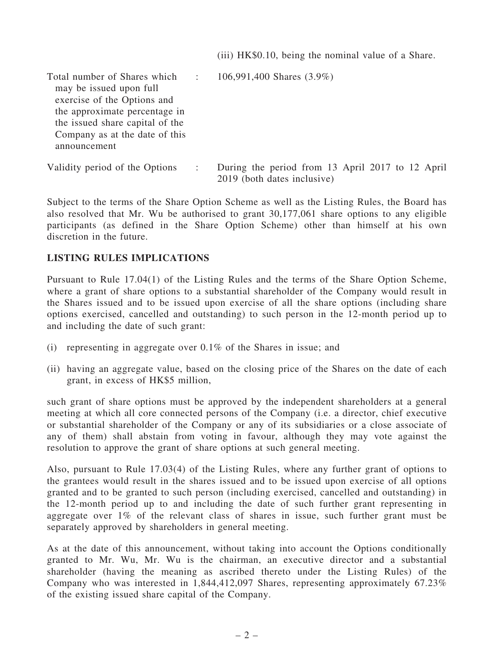(iii) HK\$0.10, being the nominal value of a Share.

| Total number of Shares which<br>may be issued upon full<br>exercise of the Options and<br>the approximate percentage in<br>the issued share capital of the<br>Company as at the date of this<br>announcement | $\sim$ 1. | 106,991,400 Shares (3.9%)                                                       |
|--------------------------------------------------------------------------------------------------------------------------------------------------------------------------------------------------------------|-----------|---------------------------------------------------------------------------------|
| Validity period of the Options                                                                                                                                                                               |           | During the period from 13 April 2017 to 12 April<br>2019 (both dates inclusive) |

Subject to the terms of the Share Option Scheme as well as the Listing Rules, the Board has also resolved that Mr. Wu be authorised to grant 30,177,061 share options to any eligible participants (as defined in the Share Option Scheme) other than himself at his own discretion in the future.

## LISTING RULES IMPLICATIONS

Pursuant to Rule 17.04(1) of the Listing Rules and the terms of the Share Option Scheme, where a grant of share options to a substantial shareholder of the Company would result in the Shares issued and to be issued upon exercise of all the share options (including share options exercised, cancelled and outstanding) to such person in the 12-month period up to and including the date of such grant:

- (i) representing in aggregate over 0.1% of the Shares in issue; and
- (ii) having an aggregate value, based on the closing price of the Shares on the date of each grant, in excess of HK\$5 million,

such grant of share options must be approved by the independent shareholders at a general meeting at which all core connected persons of the Company (i.e. a director, chief executive or substantial shareholder of the Company or any of its subsidiaries or a close associate of any of them) shall abstain from voting in favour, although they may vote against the resolution to approve the grant of share options at such general meeting.

Also, pursuant to Rule 17.03(4) of the Listing Rules, where any further grant of options to the grantees would result in the shares issued and to be issued upon exercise of all options granted and to be granted to such person (including exercised, cancelled and outstanding) in the 12-month period up to and including the date of such further grant representing in aggregate over 1% of the relevant class of shares in issue, such further grant must be separately approved by shareholders in general meeting.

As at the date of this announcement, without taking into account the Options conditionally granted to Mr. Wu, Mr. Wu is the chairman, an executive director and a substantial shareholder (having the meaning as ascribed thereto under the Listing Rules) of the Company who was interested in 1,844,412,097 Shares, representing approximately 67.23% of the existing issued share capital of the Company.